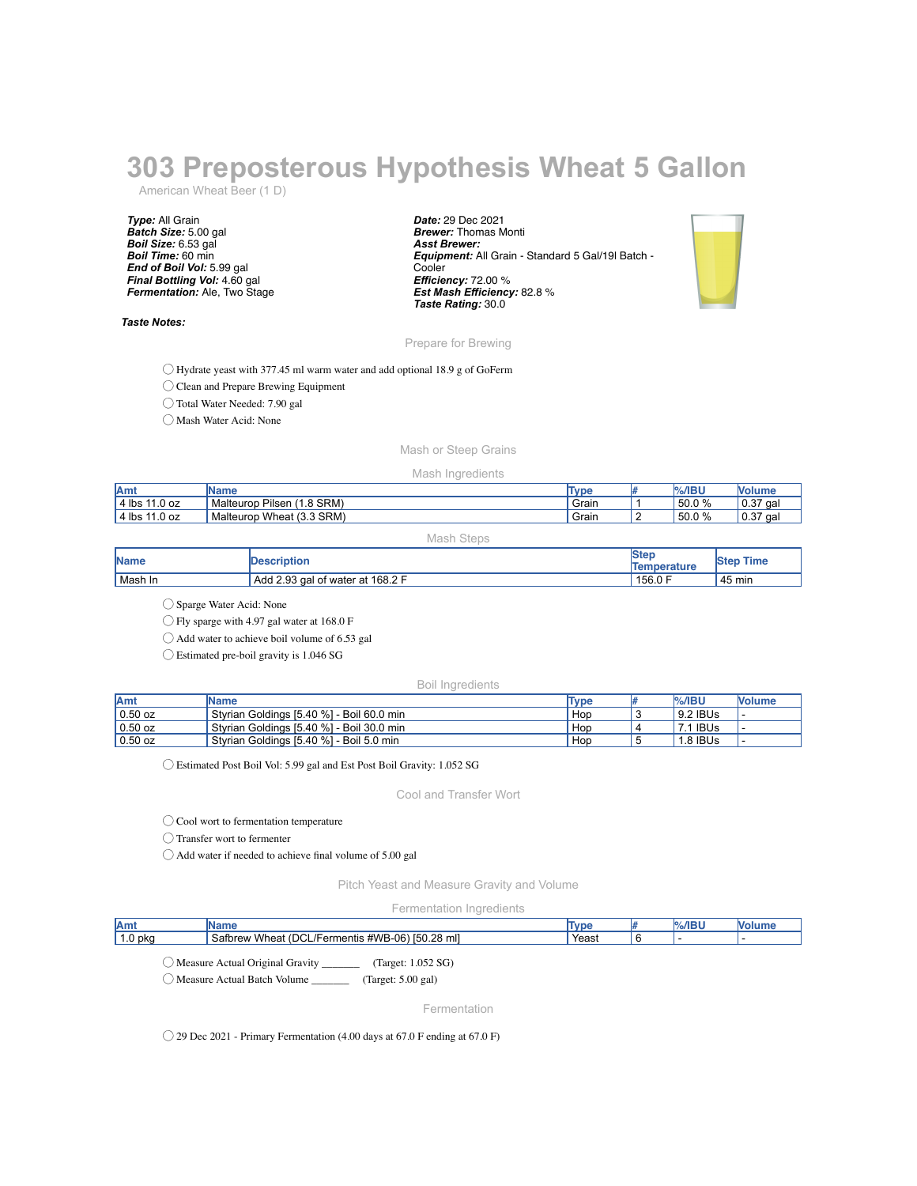# **303 Preposterous Hypothesis Wheat 5 Gallon**

American Wheat Beer (1 D)

*Type:* All Grain *Batch Size:* 5.00 gal *Boil Size:* 6.53 gal *Boil Time:* 60 min *End of Boil Vol:* 5.99 gal *Final Bottling Vol:* 4.60 gal *Fermentation:* Ale, Two Stage

### *Taste Notes:*

*Date:* 29 Dec 2021 *Brewer:* Thomas Monti *Asst Brewer: Equipment:* All Grain - Standard 5 Gal/19l Batch - **Cooler** *Efficiency:* 72.00 % *Est Mash Efficiency:* 82.8 % *Taste Rating:* 30.0



Prepare for Brewing

◯ Hydrate yeast with 377.45 ml warm water and add optional 18.9 g of GoFerm

◯ Clean and Prepare Brewing Equipment

◯ Total Water Needed: 7.90 gal

◯ Mash Water Acid: None

## Mash or Steep Grains

### Mash Ingredients

| <b>Amt</b>         | Name                               | Type  | $%$ /IBU | <b>Volume</b> |
|--------------------|------------------------------------|-------|----------|---------------|
| 11.0 oz<br>l 4 lbs | $(1.8$ SRM)<br>Pilsen<br>Malteurop | Grain | 50.0 %   | 10.37<br>aal  |
| 11.0 oz<br>4 lbs   | Wheat (3.3 SRM)<br>Malteurop       | Grain | 50.0 %   | 10.37<br>qal  |

| Mash Steps  |                                  |                             |                  |  |  |
|-------------|----------------------------------|-----------------------------|------------------|--|--|
| <b>Name</b> | <b>Description</b>               | lSter<br><b>Temperature</b> | <b>Step Time</b> |  |  |
| Mash In     | Add 2.93 gal of water at 168.2 F | 156.0 F                     | $45 \text{ min}$ |  |  |

◯ Sparge Water Acid: None

◯ Fly sparge with 4.97 gal water at 168.0 F

◯ Add water to achieve boil volume of 6.53 gal

◯ Estimated pre-boil gravity is 1.046 SG

## Boil Ingredients

| <b>Amt</b>      | <b>IName</b>                              | Type | <b>%/IBU</b> | <b>Nolume</b> |
|-----------------|-------------------------------------------|------|--------------|---------------|
| $0.50$ oz       | Styrian Goldings [5.40 %] - Boil 60.0 min | Hop  | 9.2 IBUs     |               |
| $\vert$ 0.50 oz | Styrian Goldings [5.40 %] - Boil 30.0 min | Hop  | 7.1 IBUs     |               |
| $0.50$ oz       | Styrian Goldings [5.40 %] - Boil 5.0 min  | Hop  | 1.8 IBUs     |               |

◯ Estimated Post Boil Vol: 5.99 gal and Est Post Boil Gravity: 1.052 SG

Cool and Transfer Wort

◯ Cool wort to fermentation temperature

◯ Transfer wort to fermenter

 $\bigcirc$  Add water if needed to achieve final volume of 5.00 gal

Pitch Yeast and Measure Gravity and Volume

Fermentation Ingredients

| Amt        | яне                                                               | lvni<br>סע י | $\mathbf{r}$ and $\mathbf{r}$ |     |
|------------|-------------------------------------------------------------------|--------------|-------------------------------|-----|
| 0 pkg<br>. | [50.28 ml]<br>Wheat<br>DC.<br>#WB-06<br>Satbrew<br>ermentis<br>◡∟ | Yeast        |                               | . . |
|            |                                                                   |              |                               |     |

◯ Measure Actual Original Gravity \_\_\_\_\_\_\_ (Target: 1.052 SG)

◯ Measure Actual Batch Volume \_\_\_\_\_\_\_ (Target: 5.00 gal)

Fermentation

◯ 29 Dec 2021 - Primary Fermentation (4.00 days at 67.0 F ending at 67.0 F)